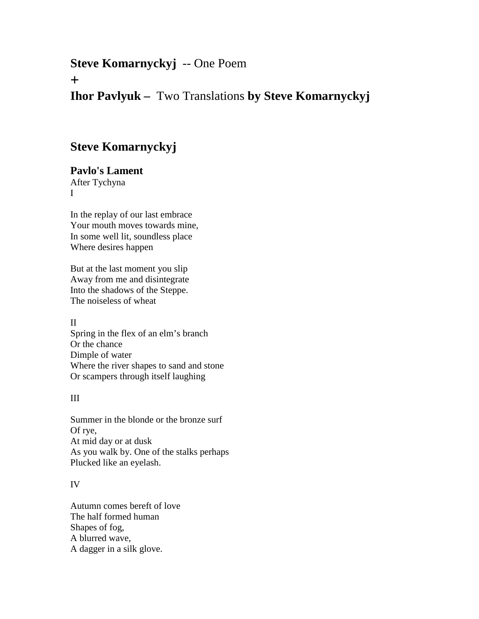# **Steve Komarnyckyj** -- One Poem

**+**

## **Ihor Pavlyuk –** Two Translations **by Steve Komarnyckyj**

## **Steve Komarnyckyj**

**Pavlo's Lament** After Tychyna I

In the replay of our last embrace Your mouth moves towards mine, In some well lit, soundless place Where desires happen

But at the last moment you slip Away from me and disintegrate Into the shadows of the Steppe. The noiseless of wheat

II Spring in the flex of an elm's branch Or the chance Dimple of water Where the river shapes to sand and stone Or scampers through itself laughing

III

Summer in the blonde or the bronze surf Of rye, At mid day or at dusk As you walk by. One of the stalks perhaps Plucked like an eyelash.

### IV

Autumn comes bereft of love The half formed human Shapes of fog, A blurred wave, A dagger in a silk glove.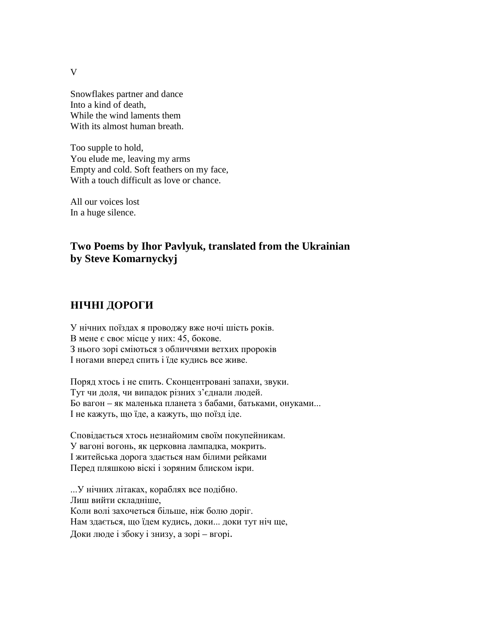V

Snowflakes partner and dance Into a kind of death, While the wind laments them With its almost human breath.

Too supple to hold, You elude me, leaving my arms Empty and cold. Soft feathers on my face, With a touch difficult as love or chance.

All our voices lost In a huge silence.

## **Two Poems by Ihor Pavlyuk, translated from the Ukrainian by Steve Komarnyckyj**

### **НІЧНІ ДОРОГИ**

У нічних поїздах я проводжу вже ночі шість років. В мене є своє місце у них: 45, бокове. З нього зорі сміються з обличчями ветхих пророків І ногами вперед спить і їде кудись все живе.

Поряд хтось і не спить. Сконцентровані запахи, звуки. Тут чи доля, чи випадок різних з'єднали людей. Бо вагон – як маленька планета з бабами, батьками, онуками... І не кажуть, що їде, а кажуть, що поїзд іде.

Сповідається хтось незнайомим своїм покупейникам. У вагоні вогонь, як церковна лампадка, мокрить. І житейська дорога здається нам білими рейками Перед пляшкою віскі і зоряним блиском ікри.

...У нічних літаках, кораблях все подібно. Лиш вийти складніше, Коли волі захочеться більше, ніж болю доріг. Нам здається, що їдем кудись, доки... доки тут ніч ще, Доки люде і збоку і знизу, а зорі – вгорі.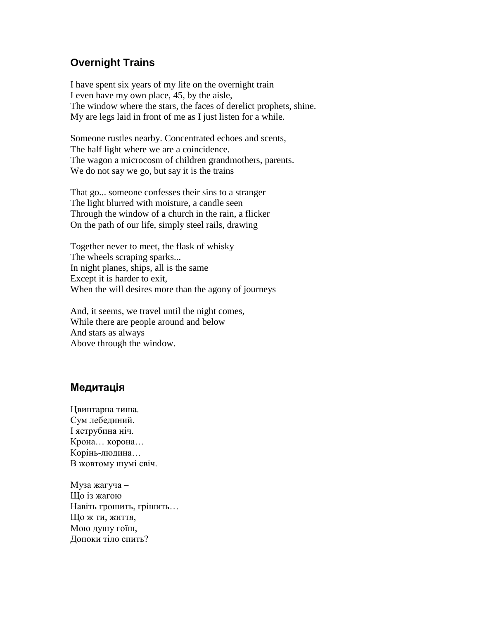### **Overnight Trains**

I have spent six years of my life on the overnight train I even have my own place, 45, by the aisle, The window where the stars, the faces of derelict prophets, shine. My are legs laid in front of me as I just listen for a while.

Someone rustles nearby. Concentrated echoes and scents, The half light where we are a coincidence. The wagon a microcosm of children grandmothers, parents. We do not say we go, but say it is the trains

That go... someone confesses their sins to a stranger The light blurred with moisture, a candle seen Through the window of a church in the rain, a flicker On the path of our life, simply steel rails, drawing

Together never to meet, the flask of whisky The wheels scraping sparks... In night planes, ships, all is the same Except it is harder to exit, When the will desires more than the agony of journeys

And, it seems, we travel until the night comes, While there are people around and below And stars as always Above through the window.

### **Медитація**

Цвинтарна тиша. Сум лебединий. І яструбина ніч. Крона… корона… Корінь-людина… В жовтому шумі свіч.

Муза жагуча – Що із жагою Навіть грошить, грішить… Що ж ти, життя, Мою душу гоїш, Допоки тіло спить?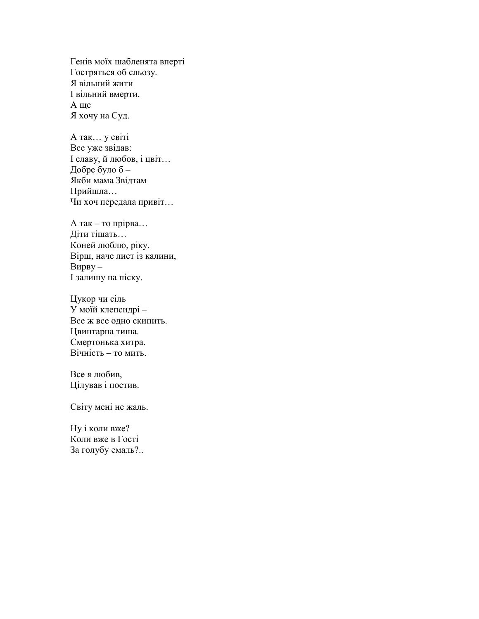Генів моїх шабленята вперті Гостряться об сльозу. Я вільний жити І вільний вмерти. А ще Я хочу на Суд.

А так… у світі Все уже звідав: І славу, й любов, і цвіт… Добре було б – Якби мама Звідтам Прийшла… Чи хоч передала привіт…

А так – то прірва… Діти тішать… Коней люблю, ріку. Вірш, наче лист із калини, Вирву – І залишу на піску.

Цукор чи сіль У моїй клепсидрі – Все ж все одно скипить. Цвинтарна тиша. Смертонька хитра. Вічність – то мить.

Все я любив, Цілував і постив.

Світу мені не жаль.

Ну і коли вже? Коли вже в Гості За голубу емаль?..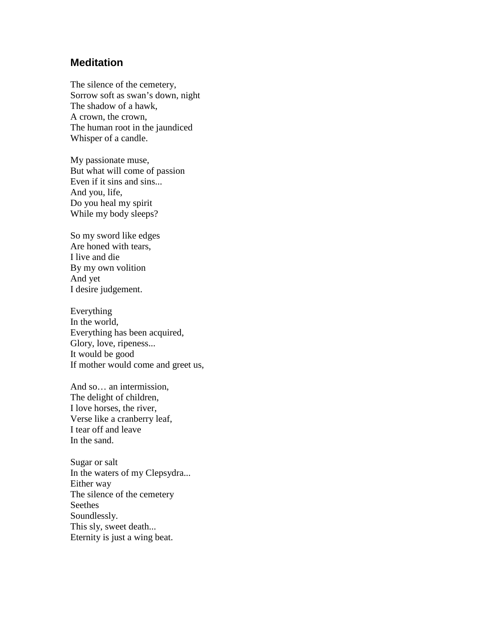#### **Meditation**

The silence of the cemetery, Sorrow soft as swan's down, night The shadow of a hawk, A crown, the crown, The human root in the jaundiced Whisper of a candle.

My passionate muse, But what will come of passion Even if it sins and sins... And you, life, Do you heal my spirit While my body sleeps?

So my sword like edges Are honed with tears, I live and die By my own volition And yet I desire judgement.

Everything In the world, Everything has been acquired, Glory, love, ripeness... It would be good If mother would come and greet us,

And so… an intermission, The delight of children, I love horses, the river, Verse like a cranberry leaf, I tear off and leave In the sand.

Sugar or salt In the waters of my Clepsydra... Either way The silence of the cemetery Seethes Soundlessly. This sly, sweet death... Eternity is just a wing beat.